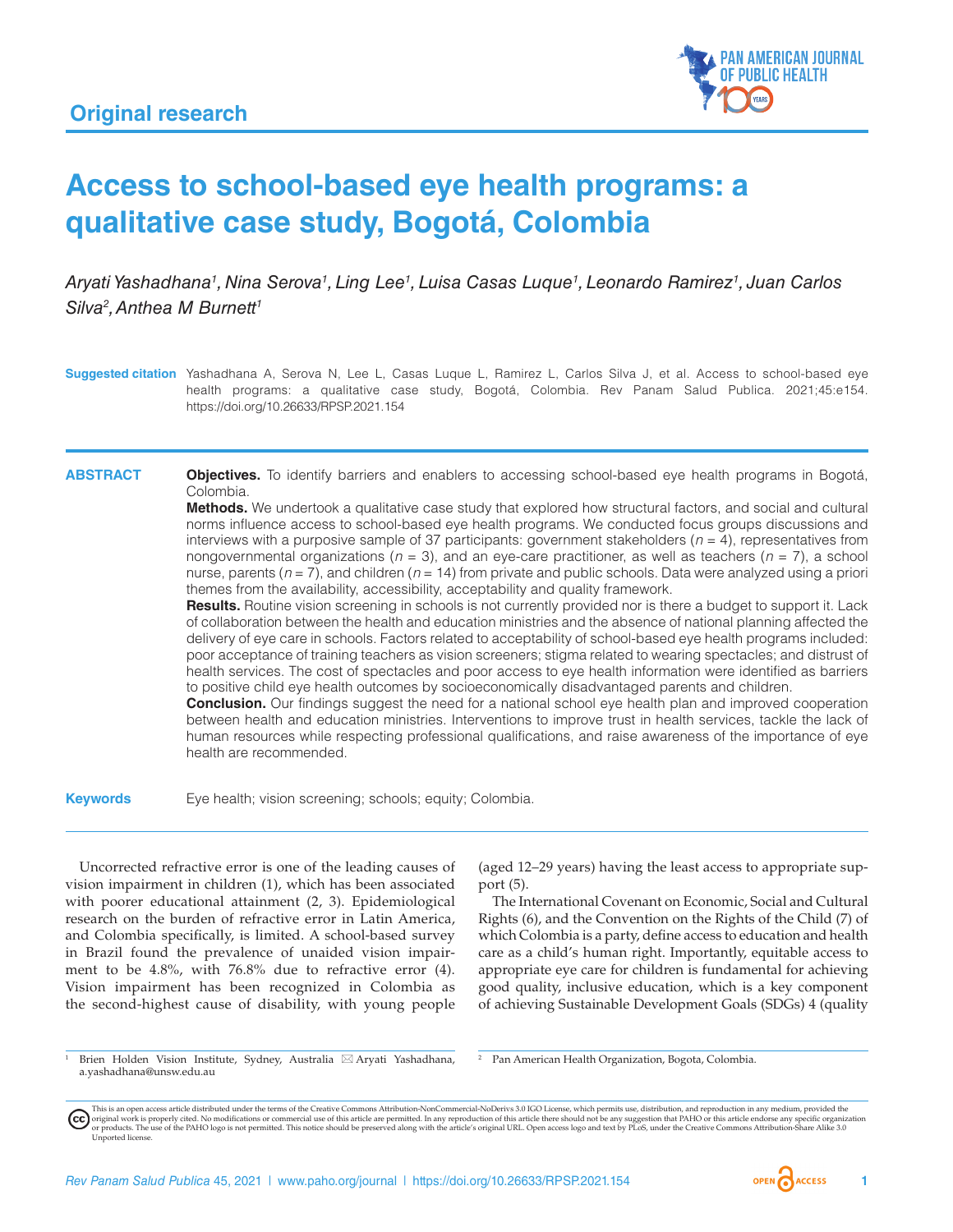

# **Access to school-based eye health programs: a qualitative case study, Bogotá, Colombia**

*Aryati Yashadhana1 , Nina Serova1 , Ling Lee1 , Luisa Casas Luque1 , Leonardo Ramirez1 , Juan Carlos Silva2 , Anthea M Burnett1*

**Suggested citation** Yashadhana A, Serova N, Lee L, Casas Luque L, Ramirez L, Carlos Silva J, et al. Access to school-based eye health programs: a qualitative case study, Bogotá, Colombia. Rev Panam Salud Publica. 2021;45:e154. <https://doi.org/10.26633/RPSP.2021.154>

**ABSTRACT Objectives.** To identify barriers and enablers to accessing school-based eye health programs in Bogotá, Colombia.

> **Methods.** We undertook a qualitative case study that explored how structural factors, and social and cultural norms influence access to school-based eye health programs. We conducted focus groups discussions and interviews with a purposive sample of 37 participants: government stakeholders  $(n = 4)$ , representatives from nongovernmental organizations (*n* = 3), and an eye-care practitioner, as well as teachers (*n* = 7), a school nurse, parents (*n* = 7), and children (*n* = 14) from private and public schools. Data were analyzed using a priori themes from the availability, accessibility, acceptability and quality framework.

> **Results.** Routine vision screening in schools is not currently provided nor is there a budget to support it. Lack of collaboration between the health and education ministries and the absence of national planning affected the delivery of eye care in schools. Factors related to acceptability of school-based eye health programs included: poor acceptance of training teachers as vision screeners; stigma related to wearing spectacles; and distrust of health services. The cost of spectacles and poor access to eye health information were identified as barriers to positive child eye health outcomes by socioeconomically disadvantaged parents and children.

> **Conclusion.** Our findings suggest the need for a national school eye health plan and improved cooperation between health and education ministries. Interventions to improve trust in health services, tackle the lack of human resources while respecting professional qualifications, and raise awareness of the importance of eye health are recommended.

**Keywords** Eye health; vision screening; schools; equity; Colombia.

Uncorrected refractive error is one of the leading causes of vision impairment in children (1), which has been associated with poorer educational attainment (2, 3). Epidemiological research on the burden of refractive error in Latin America, and Colombia specifically, is limited. A school-based survey in Brazil found the prevalence of unaided vision impairment to be 4.8%, with 76.8% due to refractive error (4). Vision impairment has been recognized in Colombia as the second-highest cause of disability, with young people (aged 12–29 years) having the least access to appropriate support (5).

The International Covenant on Economic, Social and Cultural Rights (6), and the Convention on the Rights of the Child (7) of which Colombia is a party, define access to education and health care as a child's human right. Importantly, equitable access to appropriate eye care for children is fundamental for achieving good quality, inclusive education, which is a key component of achieving Sustainable Development Goals (SDGs) 4 (quality

Brien Holden Vision Institute, Sydney, Australia ⊠ Aryati Yashadhana, [a.yashadhana@unsw.edu.au](mailto:a.yashadhana@unsw.edu.au)

<sup>2</sup> Pan American Health Organization, Bogota, Colombia.

This is an open access article distributed under the terms of the [Creative Commons Attribution-NonCommercial-NoDerivs 3.0 IGO](https://creativecommons.org/licenses/by-nc-nd/3.0/igo/legalcode) License, which permits use, distribution, and reproduction in any medium, provided the (cc) original work is properly cited. No modifications or commercial use of this article are permitted. In any reproduction of this article there should not be any suggestion that PAHO or this article endorse any specific organ [Unported](https://creativecommons.org/licenses/by-sa/3.0/deed.en) licen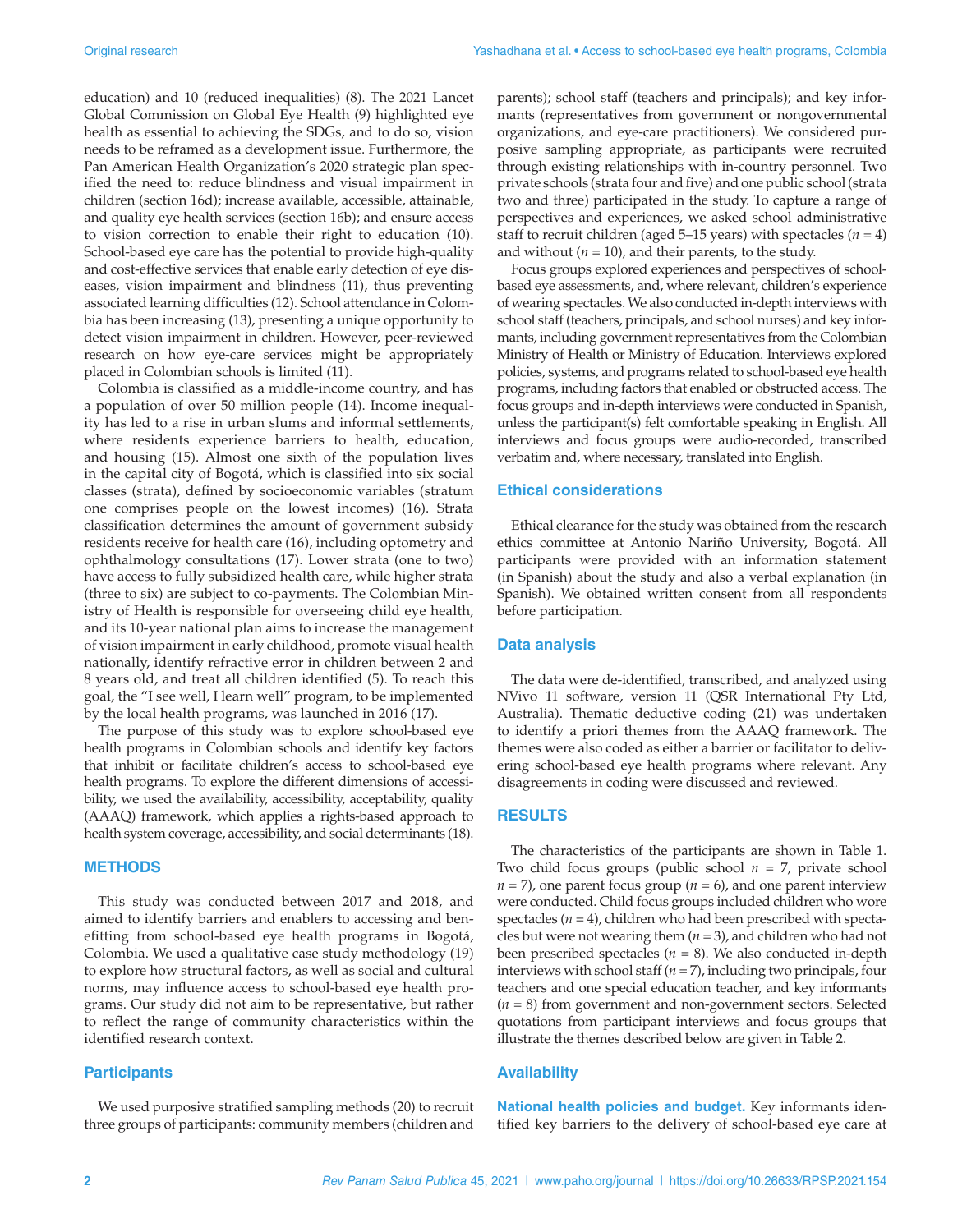education) and 10 (reduced inequalities) (8). The 2021 Lancet Global Commission on Global Eye Health (9) highlighted eye health as essential to achieving the SDGs, and to do so, vision needs to be reframed as a development issue. Furthermore, the Pan American Health Organization's 2020 strategic plan specified the need to: reduce blindness and visual impairment in children (section 16d); increase available, accessible, attainable, and quality eye health services (section 16b); and ensure access to vision correction to enable their right to education (10). School-based eye care has the potential to provide high-quality and cost-effective services that enable early detection of eye diseases, vision impairment and blindness (11), thus preventing associated learning difficulties (12). School attendance in Colombia has been increasing (13), presenting a unique opportunity to detect vision impairment in children. However, peer-reviewed research on how eye-care services might be appropriately placed in Colombian schools is limited (11).

Colombia is classified as a middle-income country, and has a population of over 50 million people (14). Income inequality has led to a rise in urban slums and informal settlements, where residents experience barriers to health, education, and housing (15). Almost one sixth of the population lives in the capital city of Bogotá, which is classified into six social classes (strata), defined by socioeconomic variables (stratum one comprises people on the lowest incomes) (16). Strata classification determines the amount of government subsidy residents receive for health care (16), including optometry and ophthalmology consultations (17). Lower strata (one to two) have access to fully subsidized health care, while higher strata (three to six) are subject to co-payments. The Colombian Ministry of Health is responsible for overseeing child eye health, and its 10-year national plan aims to increase the management of vision impairment in early childhood, promote visual health nationally, identify refractive error in children between 2 and 8 years old, and treat all children identified (5). To reach this goal, the "I see well, I learn well" program, to be implemented by the local health programs, was launched in 2016 (17).

The purpose of this study was to explore school-based eye health programs in Colombian schools and identify key factors that inhibit or facilitate children's access to school-based eye health programs. To explore the different dimensions of accessibility, we used the availability, accessibility, acceptability, quality (AAAQ) framework, which applies a rights-based approach to health system coverage, accessibility, and social determinants (18).

### **METHODS**

This study was conducted between 2017 and 2018, and aimed to identify barriers and enablers to accessing and benefitting from school-based eye health programs in Bogotá, Colombia. We used a qualitative case study methodology (19) to explore how structural factors, as well as social and cultural norms, may influence access to school-based eye health programs. Our study did not aim to be representative, but rather to reflect the range of community characteristics within the identified research context.

#### **Participants**

We used purposive stratified sampling methods (20) to recruit three groups of participants: community members (children and

parents); school staff (teachers and principals); and key informants (representatives from government or nongovernmental organizations, and eye-care practitioners). We considered purposive sampling appropriate, as participants were recruited through existing relationships with in-country personnel. Two private schools (strata four and five) and one public school (strata two and three) participated in the study. To capture a range of perspectives and experiences, we asked school administrative staff to recruit children (aged  $5-15$  years) with spectacles ( $n = 4$ ) and without  $(n = 10)$ , and their parents, to the study.

Focus groups explored experiences and perspectives of schoolbased eye assessments, and, where relevant, children's experience of wearing spectacles. We also conducted in-depth interviews with school staff (teachers, principals, and school nurses) and key informants, including government representatives from the Colombian Ministry of Health or Ministry of Education. Interviews explored policies, systems, and programs related to school-based eye health programs, including factors that enabled or obstructed access. The focus groups and in-depth interviews were conducted in Spanish, unless the participant(s) felt comfortable speaking in English. All interviews and focus groups were audio-recorded, transcribed verbatim and, where necessary, translated into English.

#### **Ethical considerations**

Ethical clearance for the study was obtained from the research ethics committee at Antonio Nariño University, Bogotá. All participants were provided with an information statement (in Spanish) about the study and also a verbal explanation (in Spanish). We obtained written consent from all respondents before participation.

#### **Data analysis**

The data were de-identified, transcribed, and analyzed using NVivo 11 software, version 11 (QSR International Pty Ltd, Australia). Thematic deductive coding (21) was undertaken to identify a priori themes from the AAAQ framework. The themes were also coded as either a barrier or facilitator to delivering school-based eye health programs where relevant. Any disagreements in coding were discussed and reviewed.

#### **RESULTS**

The characteristics of the participants are shown in Table 1. Two child focus groups (public school *n* = 7, private school  $n = 7$ , one parent focus group ( $n = 6$ ), and one parent interview were conducted. Child focus groups included children who wore spectacles  $(n = 4)$ , children who had been prescribed with spectacles but were not wearing them  $(n = 3)$ , and children who had not been prescribed spectacles  $(n = 8)$ . We also conducted in-depth interviews with school staff (*n* = 7), including two principals, four teachers and one special education teacher, and key informants (*n* = 8) from government and non-government sectors. Selected quotations from participant interviews and focus groups that illustrate the themes described below are given in Table 2.

#### **Availability**

**National health policies and budget.** Key informants identified key barriers to the delivery of school-based eye care at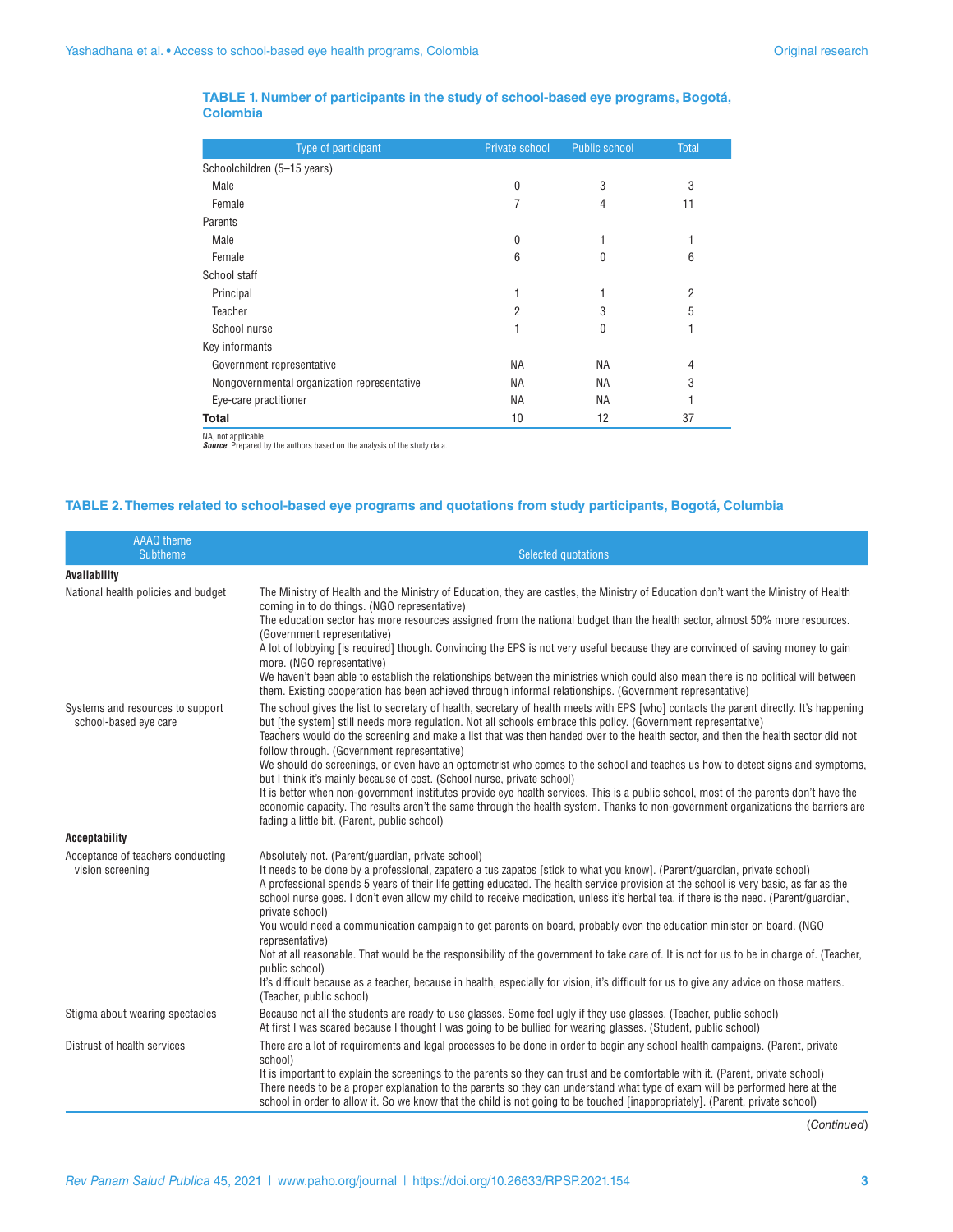#### **TABLE 1. Number of participants in the study of school-based eye programs, Bogotá, Colombia**

| Type of participant                         | Private school | <b>Public school</b> | <b>Total</b>   |  |
|---------------------------------------------|----------------|----------------------|----------------|--|
| Schoolchildren (5-15 years)                 |                |                      |                |  |
| Male                                        | 0              | 3                    | 3              |  |
| Female                                      | 7              | 4                    | 11             |  |
| Parents                                     |                |                      |                |  |
| Male                                        | 0              |                      |                |  |
| Female                                      | 6              | 0                    | 6              |  |
| School staff                                |                |                      |                |  |
| Principal                                   | 1              |                      | $\overline{2}$ |  |
| Teacher                                     | $\overline{2}$ | 3                    | 5              |  |
| School nurse                                |                | 0                    |                |  |
| Key informants                              |                |                      |                |  |
| Government representative                   | <b>NA</b>      | <b>NA</b>            | 4              |  |
| Nongovernmental organization representative | <b>NA</b>      | <b>NA</b>            | 3              |  |
| Eye-care practitioner                       | ΝA             | <b>NA</b>            |                |  |
| <b>Total</b>                                | 10             | 12                   | 37             |  |

NA, not applicable. *Source*: Prepared by the authors based on the analysis of the study data.

#### **TABLE 2. Themes related to school-based eye programs and quotations from study participants, Bogotá, Columbia**

| <b>AAAQ</b> theme<br><b>Subtheme</b>                      | <b>Selected quotations</b>                                                                                                                                                                                                                                                                                                                                                                                                                                                                                                                                                                                                                                 |
|-----------------------------------------------------------|------------------------------------------------------------------------------------------------------------------------------------------------------------------------------------------------------------------------------------------------------------------------------------------------------------------------------------------------------------------------------------------------------------------------------------------------------------------------------------------------------------------------------------------------------------------------------------------------------------------------------------------------------------|
| Availability                                              |                                                                                                                                                                                                                                                                                                                                                                                                                                                                                                                                                                                                                                                            |
| National health policies and budget                       | The Ministry of Health and the Ministry of Education, they are castles, the Ministry of Education don't want the Ministry of Health<br>coming in to do things. (NGO representative)<br>The education sector has more resources assigned from the national budget than the health sector, almost 50% more resources.<br>(Government representative)<br>A lot of lobbying [is required] though. Convincing the EPS is not very useful because they are convinced of saving money to gain                                                                                                                                                                     |
|                                                           | more. (NGO representative)<br>We haven't been able to establish the relationships between the ministries which could also mean there is no political will between<br>them. Existing cooperation has been achieved through informal relationships. (Government representative)                                                                                                                                                                                                                                                                                                                                                                              |
| Systems and resources to support<br>school-based eye care | The school gives the list to secretary of health, secretary of health meets with EPS [who] contacts the parent directly. It's happening<br>but [the system] still needs more regulation. Not all schools embrace this policy. (Government representative)<br>Teachers would do the screening and make a list that was then handed over to the health sector, and then the health sector did not<br>follow through. (Government representative)<br>We should do screenings, or even have an optometrist who comes to the school and teaches us how to detect signs and symptoms,<br>but I think it's mainly because of cost. (School nurse, private school) |
|                                                           | It is better when non-government institutes provide eye health services. This is a public school, most of the parents don't have the<br>economic capacity. The results aren't the same through the health system. Thanks to non-government organizations the barriers are<br>fading a little bit. (Parent, public school)                                                                                                                                                                                                                                                                                                                                  |
| <b>Acceptability</b>                                      |                                                                                                                                                                                                                                                                                                                                                                                                                                                                                                                                                                                                                                                            |
| Acceptance of teachers conducting<br>vision screening     | Absolutely not. (Parent/guardian, private school)<br>It needs to be done by a professional, zapatero a tus zapatos [stick to what you know]. (Parent/guardian, private school)<br>A professional spends 5 years of their life getting educated. The health service provision at the school is very basic, as far as the<br>school nurse goes. I don't even allow my child to receive medication, unless it's herbal tea, if there is the need. (Parent/quardian,<br>private school)<br>You would need a communication campaign to get parents on board, probably even the education minister on board. (NGO                                                |
|                                                           | representative)<br>Not at all reasonable. That would be the responsibility of the government to take care of. It is not for us to be in charge of. (Teacher,<br>public school)<br>It's difficult because as a teacher, because in health, especially for vision, it's difficult for us to give any advice on those matters.<br>(Teacher, public school)                                                                                                                                                                                                                                                                                                    |
| Stigma about wearing spectacles                           | Because not all the students are ready to use glasses. Some feel ugly if they use glasses. (Teacher, public school)<br>At first I was scared because I thought I was going to be bullied for wearing glasses. (Student, public school)                                                                                                                                                                                                                                                                                                                                                                                                                     |
| Distrust of health services                               | There are a lot of requirements and legal processes to be done in order to begin any school health campaigns. (Parent, private<br>school)<br>It is important to explain the screenings to the parents so they can trust and be comfortable with it. (Parent, private school)<br>There needs to be a proper explanation to the parents so they can understand what type of exam will be performed here at the<br>school in order to allow it. So we know that the child is not going to be touched [inappropriately]. (Parent, private school)                                                                                                              |

(*Continued*)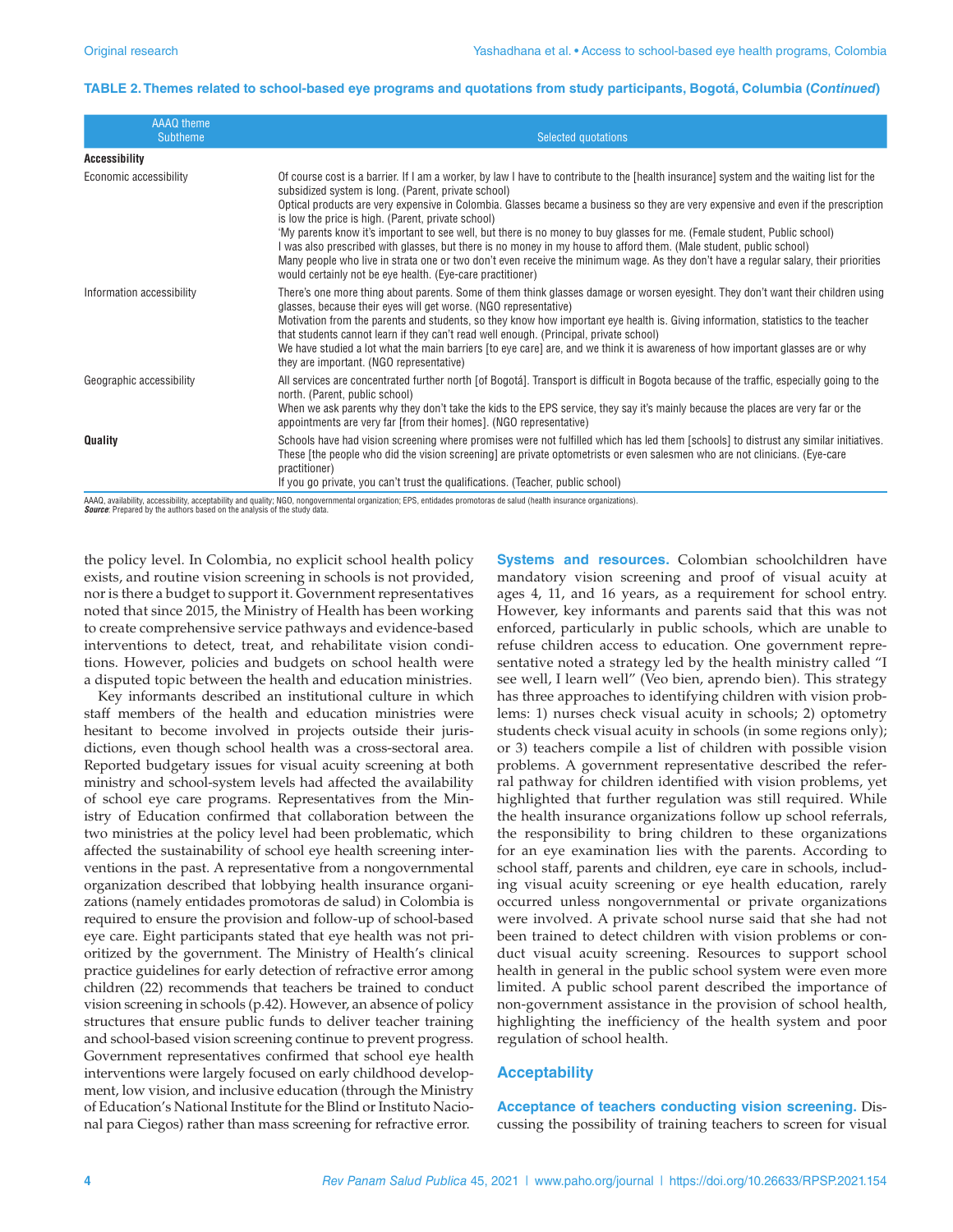#### **TABLE 2. Themes related to school-based eye programs and quotations from study participants, Bogotá, Columbia (***Continued***)**

| AAAQ theme<br><b>Subtheme</b> | Selected quotations                                                                                                                                                                                                                                                                                                                                                                                                                                                                                                                                                                                                                                                                                                                                                                                                                                 |
|-------------------------------|-----------------------------------------------------------------------------------------------------------------------------------------------------------------------------------------------------------------------------------------------------------------------------------------------------------------------------------------------------------------------------------------------------------------------------------------------------------------------------------------------------------------------------------------------------------------------------------------------------------------------------------------------------------------------------------------------------------------------------------------------------------------------------------------------------------------------------------------------------|
| <b>Accessibility</b>          |                                                                                                                                                                                                                                                                                                                                                                                                                                                                                                                                                                                                                                                                                                                                                                                                                                                     |
| Economic accessibility        | Of course cost is a barrier. If I am a worker, by law I have to contribute to the [health insurance] system and the waiting list for the<br>subsidized system is long. (Parent, private school)<br>Optical products are very expensive in Colombia. Glasses became a business so they are very expensive and even if the prescription<br>is low the price is high. (Parent, private school)<br>'My parents know it's important to see well, but there is no money to buy glasses for me. (Female student, Public school)<br>was also prescribed with glasses, but there is no money in my house to afford them. (Male student, public school)<br>Many people who live in strata one or two don't even receive the minimum wage. As they don't have a regular salary, their priorities<br>would certainly not be eye health. (Eye-care practitioner) |
| Information accessibility     | There's one more thing about parents. Some of them think glasses damage or worsen eyesight. They don't want their children using<br>glasses, because their eyes will get worse. (NGO representative)<br>Motivation from the parents and students, so they know how important eye health is. Giving information, statistics to the teacher<br>that students cannot learn if they can't read well enough. (Principal, private school)<br>We have studied a lot what the main barriers [to eye care] are, and we think it is awareness of how important glasses are or why<br>they are important. (NGO representative)                                                                                                                                                                                                                                 |
| Geographic accessibility      | All services are concentrated further north [of Bogotá]. Transport is difficult in Bogota because of the traffic, especially going to the<br>north. (Parent, public school)<br>When we ask parents why they don't take the kids to the EPS service, they say it's mainly because the places are very far or the<br>appointments are very far [from their homes]. (NGO representative)                                                                                                                                                                                                                                                                                                                                                                                                                                                               |
| Quality                       | Schools have had vision screening where promises were not fulfilled which has led them [schools] to distrust any similar initiatives.<br>These [the people who did the vision screening] are private optometrists or even salesmen who are not clinicians. (Eye-care<br>practitioner)<br>If you go private, you can't trust the qualifications. (Teacher, public school)                                                                                                                                                                                                                                                                                                                                                                                                                                                                            |

AAAQ, availability, accessibility, acceptability and quality; NGO, nongovernmental organization; EPS, entidades promotoras de salud (health insurance organizations).<br>*Source*: Prepared by the authors based on the analysis

the policy level. In Colombia, no explicit school health policy exists, and routine vision screening in schools is not provided, nor is there a budget to support it. Government representatives noted that since 2015, the Ministry of Health has been working to create comprehensive service pathways and evidence-based interventions to detect, treat, and rehabilitate vision conditions. However, policies and budgets on school health were a disputed topic between the health and education ministries.

Key informants described an institutional culture in which staff members of the health and education ministries were hesitant to become involved in projects outside their jurisdictions, even though school health was a cross-sectoral area. Reported budgetary issues for visual acuity screening at both ministry and school-system levels had affected the availability of school eye care programs. Representatives from the Ministry of Education confirmed that collaboration between the two ministries at the policy level had been problematic, which affected the sustainability of school eye health screening interventions in the past. A representative from a nongovernmental organization described that lobbying health insurance organizations (namely entidades promotoras de salud) in Colombia is required to ensure the provision and follow-up of school-based eye care. Eight participants stated that eye health was not prioritized by the government. The Ministry of Health's clinical practice guidelines for early detection of refractive error among children (22) recommends that teachers be trained to conduct vision screening in schools (p.42). However, an absence of policy structures that ensure public funds to deliver teacher training and school-based vision screening continue to prevent progress. Government representatives confirmed that school eye health interventions were largely focused on early childhood development, low vision, and inclusive education (through the Ministry of Education's National Institute for the Blind or Instituto Nacional para Ciegos) rather than mass screening for refractive error.

**Systems and resources.** Colombian schoolchildren have mandatory vision screening and proof of visual acuity at ages 4, 11, and 16 years, as a requirement for school entry. However, key informants and parents said that this was not enforced, particularly in public schools, which are unable to refuse children access to education. One government representative noted a strategy led by the health ministry called "I see well, I learn well" (Veo bien, aprendo bien). This strategy has three approaches to identifying children with vision problems: 1) nurses check visual acuity in schools; 2) optometry students check visual acuity in schools (in some regions only); or 3) teachers compile a list of children with possible vision problems. A government representative described the referral pathway for children identified with vision problems, yet highlighted that further regulation was still required. While the health insurance organizations follow up school referrals, the responsibility to bring children to these organizations for an eye examination lies with the parents. According to school staff, parents and children, eye care in schools, including visual acuity screening or eye health education, rarely occurred unless nongovernmental or private organizations were involved. A private school nurse said that she had not been trained to detect children with vision problems or conduct visual acuity screening. Resources to support school health in general in the public school system were even more limited. A public school parent described the importance of non-government assistance in the provision of school health, highlighting the inefficiency of the health system and poor regulation of school health.

#### **Acceptability**

**Acceptance of teachers conducting vision screening.** Discussing the possibility of training teachers to screen for visual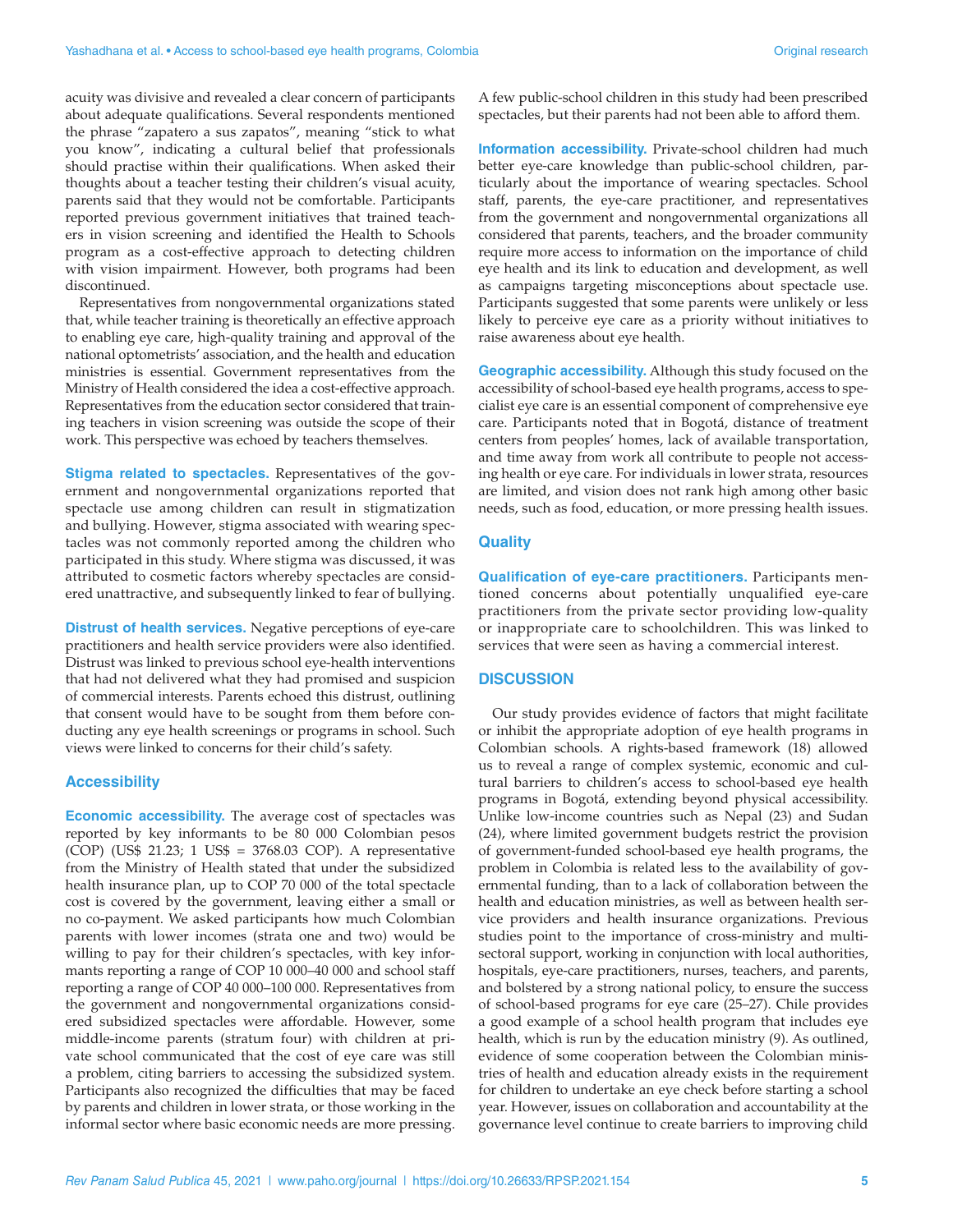acuity was divisive and revealed a clear concern of participants about adequate qualifications. Several respondents mentioned the phrase "zapatero a sus zapatos", meaning "stick to what you know", indicating a cultural belief that professionals should practise within their qualifications. When asked their thoughts about a teacher testing their children's visual acuity, parents said that they would not be comfortable. Participants reported previous government initiatives that trained teachers in vision screening and identified the Health to Schools program as a cost-effective approach to detecting children with vision impairment. However, both programs had been discontinued.

Representatives from nongovernmental organizations stated that, while teacher training is theoretically an effective approach to enabling eye care, high-quality training and approval of the national optometrists' association, and the health and education ministries is essential. Government representatives from the Ministry of Health considered the idea a cost-effective approach. Representatives from the education sector considered that training teachers in vision screening was outside the scope of their work. This perspective was echoed by teachers themselves.

**Stigma related to spectacles.** Representatives of the government and nongovernmental organizations reported that spectacle use among children can result in stigmatization and bullying. However, stigma associated with wearing spectacles was not commonly reported among the children who participated in this study. Where stigma was discussed, it was attributed to cosmetic factors whereby spectacles are considered unattractive, and subsequently linked to fear of bullying.

**Distrust of health services.** Negative perceptions of eye-care practitioners and health service providers were also identified. Distrust was linked to previous school eye-health interventions that had not delivered what they had promised and suspicion of commercial interests. Parents echoed this distrust, outlining that consent would have to be sought from them before conducting any eye health screenings or programs in school. Such views were linked to concerns for their child's safety.

#### **Accessibility**

**Economic accessibility.** The average cost of spectacles was reported by key informants to be 80 000 Colombian pesos (COP) (US\$ 21.23; 1 US\$ = 3768.03 COP). A representative from the Ministry of Health stated that under the subsidized health insurance plan, up to COP 70 000 of the total spectacle cost is covered by the government, leaving either a small or no co-payment. We asked participants how much Colombian parents with lower incomes (strata one and two) would be willing to pay for their children's spectacles, with key informants reporting a range of COP 10 000–40 000 and school staff reporting a range of COP 40 000–100 000. Representatives from the government and nongovernmental organizations considered subsidized spectacles were affordable. However, some middle-income parents (stratum four) with children at private school communicated that the cost of eye care was still a problem, citing barriers to accessing the subsidized system. Participants also recognized the difficulties that may be faced by parents and children in lower strata, or those working in the informal sector where basic economic needs are more pressing.

A few public-school children in this study had been prescribed spectacles, but their parents had not been able to afford them.

**Information accessibility.** Private-school children had much better eye-care knowledge than public-school children, particularly about the importance of wearing spectacles. School staff, parents, the eye-care practitioner, and representatives from the government and nongovernmental organizations all considered that parents, teachers, and the broader community require more access to information on the importance of child eye health and its link to education and development, as well as campaigns targeting misconceptions about spectacle use. Participants suggested that some parents were unlikely or less likely to perceive eye care as a priority without initiatives to raise awareness about eye health.

**Geographic accessibility.** Although this study focused on the accessibility of school-based eye health programs, access to specialist eye care is an essential component of comprehensive eye care. Participants noted that in Bogotá, distance of treatment centers from peoples' homes, lack of available transportation, and time away from work all contribute to people not accessing health or eye care. For individuals in lower strata, resources are limited, and vision does not rank high among other basic needs, such as food, education, or more pressing health issues.

#### **Quality**

**Qualification of eye-care practitioners.** Participants mentioned concerns about potentially unqualified eye-care practitioners from the private sector providing low-quality or inappropriate care to schoolchildren. This was linked to services that were seen as having a commercial interest.

#### **DISCUSSION**

Our study provides evidence of factors that might facilitate or inhibit the appropriate adoption of eye health programs in Colombian schools. A rights-based framework (18) allowed us to reveal a range of complex systemic, economic and cultural barriers to children's access to school-based eye health programs in Bogotá, extending beyond physical accessibility. Unlike low-income countries such as Nepal (23) and Sudan (24), where limited government budgets restrict the provision of government-funded school-based eye health programs, the problem in Colombia is related less to the availability of governmental funding, than to a lack of collaboration between the health and education ministries, as well as between health service providers and health insurance organizations. Previous studies point to the importance of cross-ministry and multisectoral support, working in conjunction with local authorities, hospitals, eye-care practitioners, nurses, teachers, and parents, and bolstered by a strong national policy, to ensure the success of school-based programs for eye care (25–27). Chile provides a good example of a school health program that includes eye health, which is run by the education ministry (9). As outlined, evidence of some cooperation between the Colombian ministries of health and education already exists in the requirement for children to undertake an eye check before starting a school year. However, issues on collaboration and accountability at the governance level continue to create barriers to improving child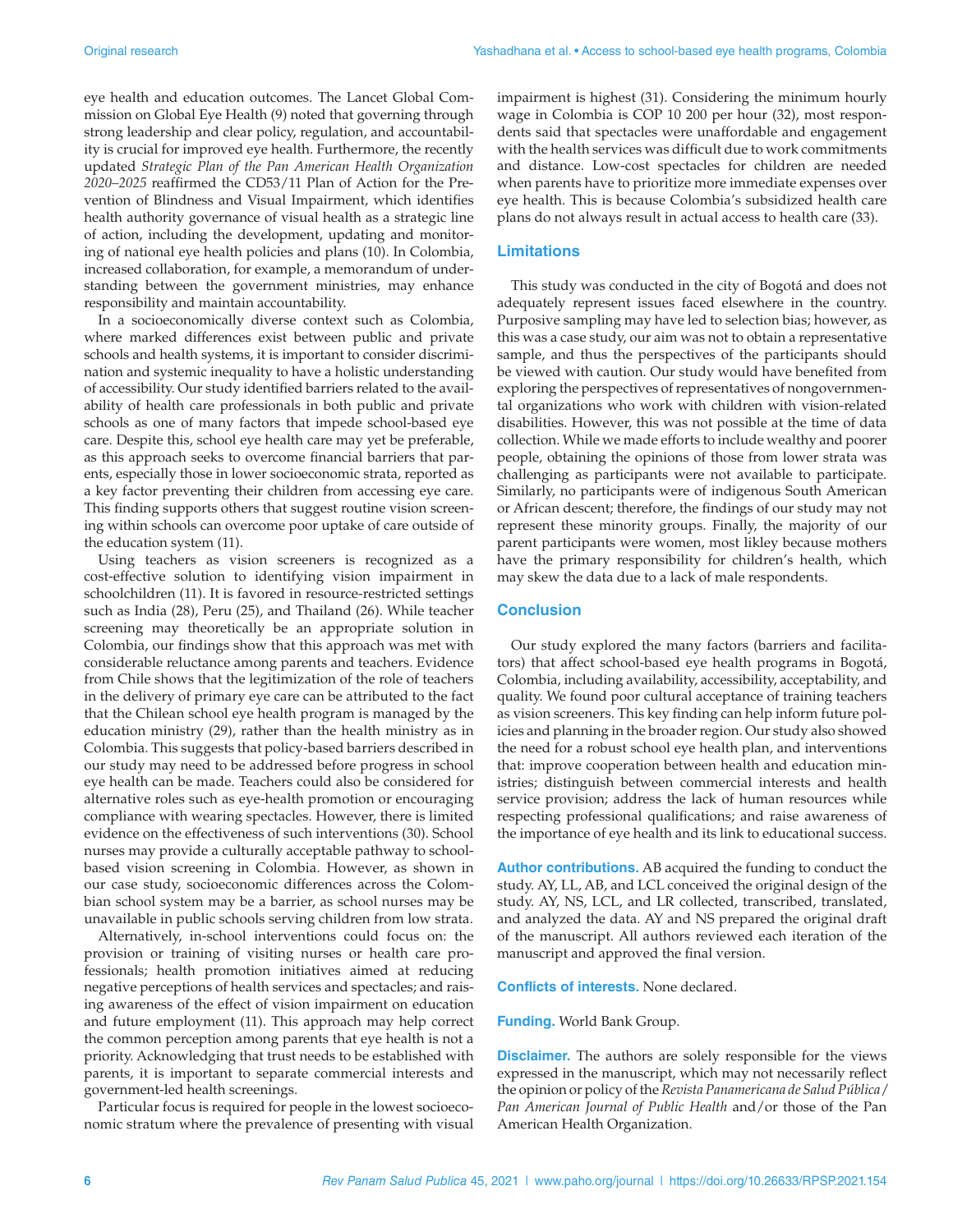eye health and education outcomes. The Lancet Global Commission on Global Eye Health (9) noted that governing through strong leadership and clear policy, regulation, and accountability is crucial for improved eye health. Furthermore, the recently updated *Strategic Plan of the Pan American Health Organization 2020–2025* reaffirmed the CD53/11 Plan of Action for the Prevention of Blindness and Visual Impairment, which identifies health authority governance of visual health as a strategic line of action, including the development, updating and monitoring of national eye health policies and plans (10). In Colombia, increased collaboration, for example, a memorandum of understanding between the government ministries, may enhance responsibility and maintain accountability.

In a socioeconomically diverse context such as Colombia, where marked differences exist between public and private schools and health systems, it is important to consider discrimination and systemic inequality to have a holistic understanding of accessibility. Our study identified barriers related to the availability of health care professionals in both public and private schools as one of many factors that impede school-based eye care. Despite this, school eye health care may yet be preferable, as this approach seeks to overcome financial barriers that parents, especially those in lower socioeconomic strata, reported as a key factor preventing their children from accessing eye care. This finding supports others that suggest routine vision screening within schools can overcome poor uptake of care outside of the education system (11).

Using teachers as vision screeners is recognized as a cost-effective solution to identifying vision impairment in schoolchildren (11). It is favored in resource-restricted settings such as India (28), Peru (25), and Thailand (26). While teacher screening may theoretically be an appropriate solution in Colombia, our findings show that this approach was met with considerable reluctance among parents and teachers. Evidence from Chile shows that the legitimization of the role of teachers in the delivery of primary eye care can be attributed to the fact that the Chilean school eye health program is managed by the education ministry (29), rather than the health ministry as in Colombia. This suggests that policy-based barriers described in our study may need to be addressed before progress in school eye health can be made. Teachers could also be considered for alternative roles such as eye-health promotion or encouraging compliance with wearing spectacles. However, there is limited evidence on the effectiveness of such interventions (30). School nurses may provide a culturally acceptable pathway to schoolbased vision screening in Colombia. However, as shown in our case study, socioeconomic differences across the Colombian school system may be a barrier, as school nurses may be unavailable in public schools serving children from low strata.

Alternatively, in-school interventions could focus on: the provision or training of visiting nurses or health care professionals; health promotion initiatives aimed at reducing negative perceptions of health services and spectacles; and raising awareness of the effect of vision impairment on education and future employment (11). This approach may help correct the common perception among parents that eye health is not a priority. Acknowledging that trust needs to be established with parents, it is important to separate commercial interests and government-led health screenings.

Particular focus is required for people in the lowest socioeconomic stratum where the prevalence of presenting with visual impairment is highest (31). Considering the minimum hourly wage in Colombia is COP 10 200 per hour (32), most respondents said that spectacles were unaffordable and engagement with the health services was difficult due to work commitments and distance. Low-cost spectacles for children are needed when parents have to prioritize more immediate expenses over eye health. This is because Colombia's subsidized health care plans do not always result in actual access to health care (33).

#### **Limitations**

This study was conducted in the city of Bogotá and does not adequately represent issues faced elsewhere in the country. Purposive sampling may have led to selection bias; however, as this was a case study, our aim was not to obtain a representative sample, and thus the perspectives of the participants should be viewed with caution. Our study would have benefited from exploring the perspectives of representatives of nongovernmental organizations who work with children with vision-related disabilities. However, this was not possible at the time of data collection. While we made efforts to include wealthy and poorer people, obtaining the opinions of those from lower strata was challenging as participants were not available to participate. Similarly, no participants were of indigenous South American or African descent; therefore, the findings of our study may not represent these minority groups. Finally, the majority of our parent participants were women, most likley because mothers have the primary responsibility for children's health, which may skew the data due to a lack of male respondents.

#### **Conclusion**

Our study explored the many factors (barriers and facilitators) that affect school-based eye health programs in Bogotá, Colombia, including availability, accessibility, acceptability, and quality. We found poor cultural acceptance of training teachers as vision screeners. This key finding can help inform future policies and planning in the broader region. Our study also showed the need for a robust school eye health plan, and interventions that: improve cooperation between health and education ministries; distinguish between commercial interests and health service provision; address the lack of human resources while respecting professional qualifications; and raise awareness of the importance of eye health and its link to educational success.

**Author contributions.** AB acquired the funding to conduct the study. AY, LL, AB, and LCL conceived the original design of the study. AY, NS, LCL, and LR collected, transcribed, translated, and analyzed the data. AY and NS prepared the original draft of the manuscript. All authors reviewed each iteration of the manuscript and approved the final version.

**Conflicts of interests.** None declared.

**Funding.** World Bank Group.

**Disclaimer.** The authors are solely responsible for the views expressed in the manuscript, which may not necessarily reflect the opinion or policy of the *Revista Panamericana de Salud Pública / Pan American Journal of Public Health* and/or those of the Pan American Health Organization.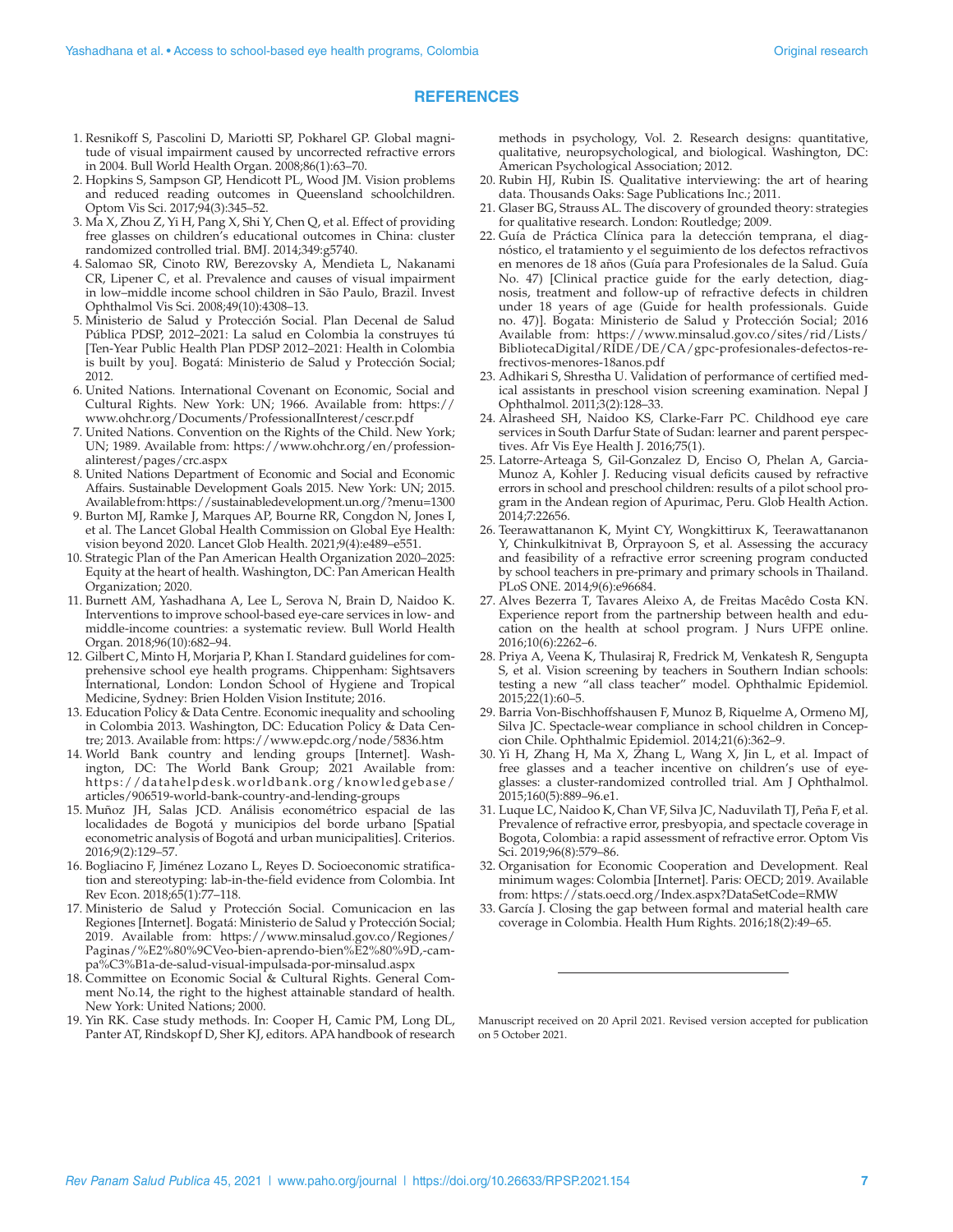#### **REFERENCES**

- 1. Resnikoff S, Pascolini D, Mariotti SP, Pokharel GP. Global magnitude of visual impairment caused by uncorrected refractive errors in 2004. Bull World Health Organ. 2008;86(1):63–70.
- 2. Hopkins S, Sampson GP, Hendicott PL, Wood JM. Vision problems and reduced reading outcomes in Queensland schoolchildren. Optom Vis Sci. 2017;94(3):345–52.
- 3. Ma X, Zhou Z, Yi H, Pang X, Shi Y, Chen Q, et al. Effect of providing free glasses on children's educational outcomes in China: cluster randomized controlled trial. BMJ. 2014;349:g5740.
- 4. Salomao SR, Cinoto RW, Berezovsky A, Mendieta L, Nakanami CR, Lipener C, et al. Prevalence and causes of visual impairment in low–middle income school children in São Paulo, Brazil. Invest Ophthalmol Vis Sci. 2008;49(10):4308–13.
- 5. Ministerio de Salud y Protección Social. Plan Decenal de Salud Pública PDSP, 2012–2021: La salud en Colombia la construyes tú [Ten-Year Public Health Plan PDSP 2012–2021: Health in Colombia is built by you]. Bogatá: Ministerio de Salud y Protección Social; 2012.
- 6. United Nations. International Covenant on Economic, Social and Cultural Rights. New York: UN; 1966. Available from: [https://](https://www.ohchr.org/Documents/ProfessionalInterest/cescr.pdf) [www.ohchr.org/Documents/ProfessionalInterest/cescr.pdf](https://www.ohchr.org/Documents/ProfessionalInterest/cescr.pdf)
- 7. United Nations. Convention on the Rights of the Child. New York; UN; 1989. Available from: [https://www.ohchr.org/en/profession](https://www.ohchr.org/en/professionalinterest/pages/crc.aspx)[alinterest/pages/crc.aspx](https://www.ohchr.org/en/professionalinterest/pages/crc.aspx)
- 8. United Nations Department of Economic and Social and Economic Affairs. Sustainable Development Goals 2015. New York: UN; 2015. Available from:<https://sustainabledevelopment.un.org/?menu=1300>
- 9. Burton MJ, Ramke J, Marques AP, Bourne RR, Congdon N, Jones I, et al. The Lancet Global Health Commission on Global Eye Health: vision beyond 2020. Lancet Glob Health. 2021;9(4):e489–e551.
- 10. Strategic Plan of the Pan American Health Organization 2020–2025: Equity at the heart of health. Washington, DC: Pan American Health Organization; 2020.
- 11. Burnett AM, Yashadhana A, Lee L, Serova N, Brain D, Naidoo K. Interventions to improve school-based eye-care services in low- and middle-income countries: a systematic review. Bull World Health Organ. 2018;96(10):682–94.
- 12. Gilbert C, Minto H, Morjaria P, Khan I. Standard guidelines for comprehensive school eye health programs. Chippenham: Sightsavers International, London: London School of Hygiene and Tropical Medicine, Sydney: Brien Holden Vision Institute; 2016.
- 13. Education Policy & Data Centre. Economic inequality and schooling in Colombia 2013. Washington, DC: Education Policy & Data Centre; 2013. Available from:<https://www.epdc.org/node/5836.htm>
- 14. World Bank country and lending groups [Internet]. Washington, DC: The World Bank Group; 2021 Available from: [https://datahelpdesk.worldbank.org/knowledgebase/](https://datahelpdesk.worldbank.org/knowledgebase/articles/906519-world-bank-country-and-lending-groups) [articles/906519-world-bank-country-and-lending-groups](https://datahelpdesk.worldbank.org/knowledgebase/articles/906519-world-bank-country-and-lending-groups)
- 15. Muñoz JH, Salas JCD. Análisis econométrico espacial de las localidades de Bogotá y municipios del borde urbano [Spatial econometric analysis of Bogotá and urban municipalities]. Criterios. 2016;9(2):129–57.
- 16. Bogliacino F, Jiménez Lozano L, Reyes D. Socioeconomic stratification and stereotyping: lab-in-the-field evidence from Colombia. Int Rev Econ. 2018;65(1):77–118.
- 17. Ministerio de Salud y Protección Social. Comunicacion en las Regiones [Internet]. Bogatá: Ministerio de Salud y Protección Social; 2019. Available from: [https://www.minsalud.gov.co/Regiones/](https://www.minsalud.gov.co/Regiones/Paginas/%E2%80%9CVeo-bien-aprendo-bien%E2%80%9D,-campa%C3%B1a-de-salud-visual-impulsada-por-minsalud.aspx) [Paginas/%E2%80%9CVeo-bien-aprendo-bien%E2%80%9D,-cam](https://www.minsalud.gov.co/Regiones/Paginas/%E2%80%9CVeo-bien-aprendo-bien%E2%80%9D,-campa%C3%B1a-de-salud-visual-impulsada-por-minsalud.aspx)[pa%C3%B1a-de-salud-visual-impulsada-por-minsalud.aspx](https://www.minsalud.gov.co/Regiones/Paginas/%E2%80%9CVeo-bien-aprendo-bien%E2%80%9D,-campa%C3%B1a-de-salud-visual-impulsada-por-minsalud.aspx)
- 18. Committee on Economic Social & Cultural Rights. General Comment No.14, the right to the highest attainable standard of health. New York: United Nations; 2000.
- 19. Yin RK. Case study methods. In: Cooper H, Camic PM, Long DL, Panter AT, Rindskopf D, Sher KJ, editors. APA handbook of research

methods in psychology, Vol. 2. Research designs: quantitative, qualitative, neuropsychological, and biological. Washington, DC: American Psychological Association; 2012.

- 20. Rubin HJ, Rubin IS. Qualitative interviewing: the art of hearing data. Thousands Oaks: Sage Publications Inc.; 2011.
- 21. Glaser BG, Strauss AL. The discovery of grounded theory: strategies for qualitative research. London: Routledge; 2009.
- 22. Guía de Práctica Clínica para la detección temprana, el diagnóstico, el tratamiento y el seguimiento de los defectos refractivos en menores de 18 años (Guía para Profesionales de la Salud. Guía No. 47) [Clinical practice guide for the early detection, diagnosis, treatment and follow-up of refractive defects in children under 18 years of age (Guide for health professionals. Guide no. 47)]. Bogata: Ministerio de Salud y Protección Social; 2016 Available from: [https://www.minsalud.gov.co/sites/rid/Lists/](https://www.minsalud.gov.co/sites/rid/Lists/BibliotecaDigital/RIDE/DE/CA/gpc-profesionales-defectos-refrectivos-menores-18anos.pdf) [BibliotecaDigital/RIDE/DE/CA/gpc-profesionales-defectos-re](https://www.minsalud.gov.co/sites/rid/Lists/BibliotecaDigital/RIDE/DE/CA/gpc-profesionales-defectos-refrectivos-menores-18anos.pdf)[frectivos-menores-18anos.pdf](https://www.minsalud.gov.co/sites/rid/Lists/BibliotecaDigital/RIDE/DE/CA/gpc-profesionales-defectos-refrectivos-menores-18anos.pdf)
- 23. Adhikari S, Shrestha U. Validation of performance of certified medical assistants in preschool vision screening examination. Nepal J Ophthalmol. 2011;3(2):128–33.
- 24. Alrasheed SH, Naidoo KS, Clarke-Farr PC. Childhood eye care services in South Darfur State of Sudan: learner and parent perspectives. Afr Vis Eye Health J. 2016;75(1).
- 25. Latorre-Arteaga S, Gil-Gonzalez D, Enciso O, Phelan A, Garcia-Munoz A, Kohler J. Reducing visual deficits caused by refractive errors in school and preschool children: results of a pilot school program in the Andean region of Apurimac, Peru. Glob Health Action. 2014;7:22656.
- 26. Teerawattananon K, Myint CY, Wongkittirux K, Teerawattananon Y, Chinkulkitnivat B, Orprayoon S, et al. Assessing the accuracy and feasibility of a refractive error screening program conducted by school teachers in pre-primary and primary schools in Thailand. PLoS ONE. 2014;9(6):e96684.
- 27. Alves Bezerra T, Tavares Aleixo A, de Freitas Macêdo Costa KN. Experience report from the partnership between health and education on the health at school program. J Nurs UFPE online. 2016;10(6):2262–6.
- 28. Priya A, Veena K, Thulasiraj R, Fredrick M, Venkatesh R, Sengupta S, et al. Vision screening by teachers in Southern Indian schools: testing a new "all class teacher" model. Ophthalmic Epidemiol. 2015;22(1):60–5.
- 29. Barria Von-Bischhoffshausen F, Munoz B, Riquelme A, Ormeno MJ, Silva JC. Spectacle-wear compliance in school children in Concepcion Chile. Ophthalmic Epidemiol. 2014;21(6):362–9.
- 30. Yi H, Zhang H, Ma X, Zhang L, Wang X, Jin L, et al. Impact of free glasses and a teacher incentive on children's use of eyeglasses: a cluster-randomized controlled trial. Am J Ophthalmol. 2015;160(5):889–96.e1.
- 31. Luque LC, Naidoo K, Chan VF, Silva JC, Naduvilath TJ, Peña F, et al. Prevalence of refractive error, presbyopia, and spectacle coverage in Bogota, Colombia: a rapid assessment of refractive error. Optom Vis Sci. 2019;96(8):579–86.
- 32. Organisation for Economic Cooperation and Development. Real minimum wages: Colombia [Internet]. Paris: OECD; 2019. Available from: <https://stats.oecd.org/Index.aspx?DataSetCode=RMW>
- 33. García J. Closing the gap between formal and material health care coverage in Colombia. Health Hum Rights. 2016;18(2):49–65.

Manuscript received on 20 April 2021. Revised version accepted for publication on 5 October 2021.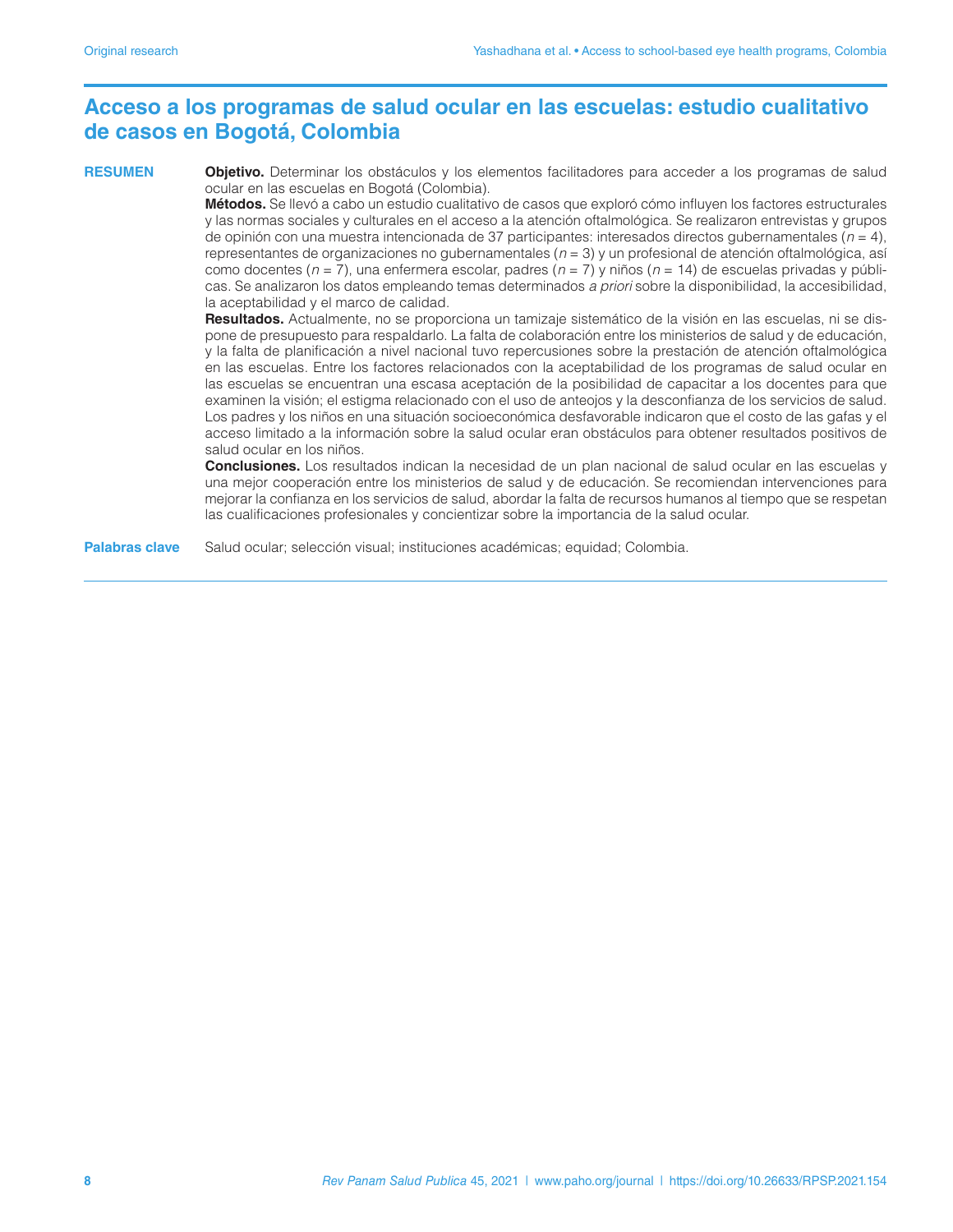## **Acceso a los programas de salud ocular en las escuelas: estudio cualitativo de casos en Bogotá, Colombia**

**RESUMEN Objetivo.** Determinar los obstáculos y los elementos facilitadores para acceder a los programas de salud ocular en las escuelas en Bogotá (Colombia).

**Métodos.** Se llevó a cabo un estudio cualitativo de casos que exploró cómo influyen los factores estructurales y las normas sociales y culturales en el acceso a la atención oftalmológica. Se realizaron entrevistas y grupos de opinión con una muestra intencionada de 37 participantes: interesados directos gubernamentales (*n* = 4), representantes de organizaciones no gubernamentales (*n* = 3) y un profesional de atención oftalmológica, así como docentes (*n* = 7), una enfermera escolar, padres (*n* = 7) y niños (*n* = 14) de escuelas privadas y públicas. Se analizaron los datos empleando temas determinados *a priori* sobre la disponibilidad, la accesibilidad, la aceptabilidad y el marco de calidad.

**Resultados.** Actualmente, no se proporciona un tamizaje sistemático de la visión en las escuelas, ni se dispone de presupuesto para respaldarlo. La falta de colaboración entre los ministerios de salud y de educación, y la falta de planificación a nivel nacional tuvo repercusiones sobre la prestación de atención oftalmológica en las escuelas. Entre los factores relacionados con la aceptabilidad de los programas de salud ocular en las escuelas se encuentran una escasa aceptación de la posibilidad de capacitar a los docentes para que examinen la visión; el estigma relacionado con el uso de anteojos y la desconfianza de los servicios de salud. Los padres y los niños en una situación socioeconómica desfavorable indicaron que el costo de las gafas y el acceso limitado a la información sobre la salud ocular eran obstáculos para obtener resultados positivos de salud ocular en los niños.

**Conclusiones.** Los resultados indican la necesidad de un plan nacional de salud ocular en las escuelas y una mejor cooperación entre los ministerios de salud y de educación. Se recomiendan intervenciones para mejorar la confianza en los servicios de salud, abordar la falta de recursos humanos al tiempo que se respetan las cualificaciones profesionales y concientizar sobre la importancia de la salud ocular.

**Palabras clave** Salud ocular; selección visual; instituciones académicas; equidad; Colombia.